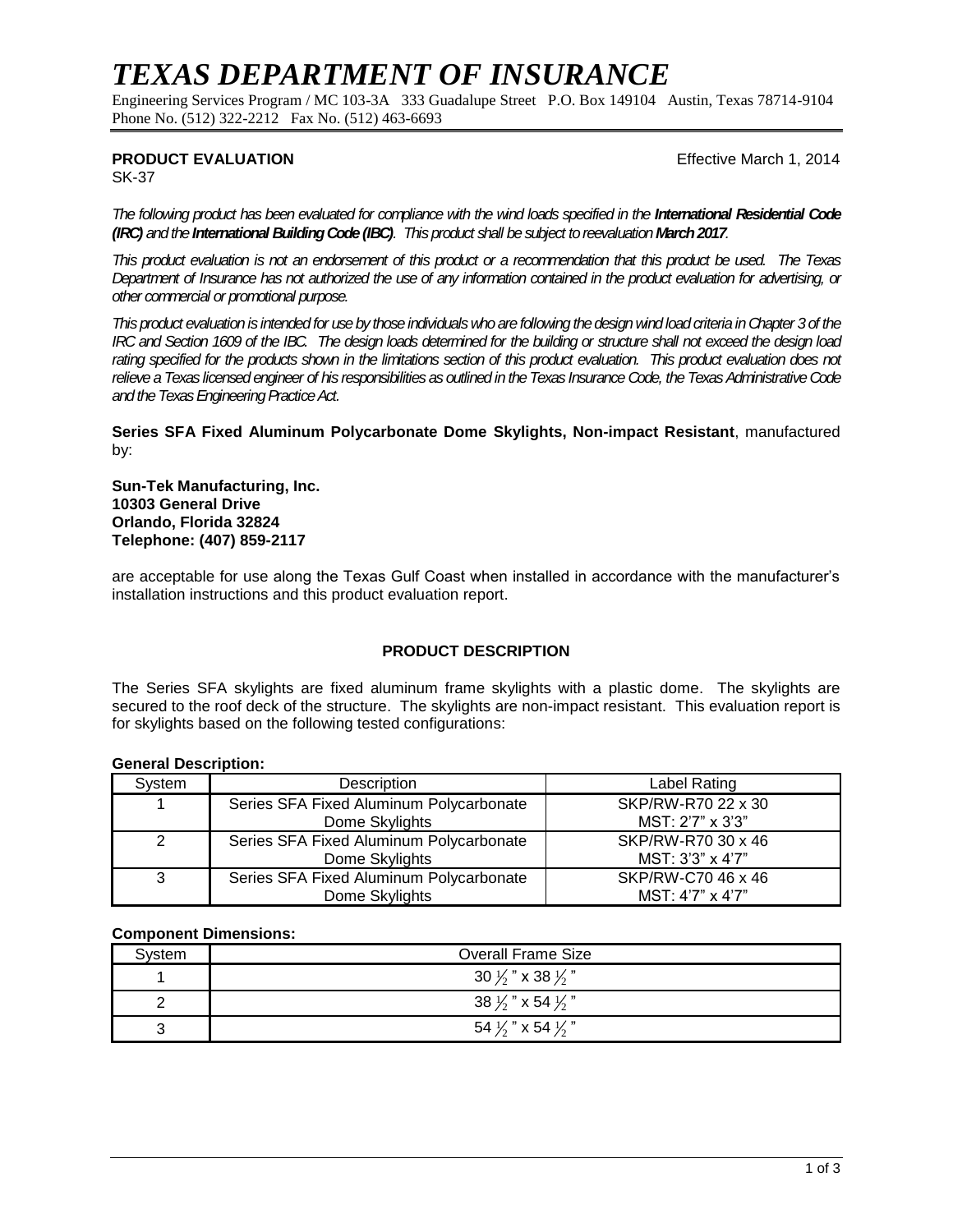# *TEXAS DEPARTMENT OF INSURANCE*

Engineering Services Program / MC 103-3A 333 Guadalupe Street P.O. Box 149104 Austin, Texas 78714-9104 Phone No. (512) 322-2212 Fax No. (512) 463-6693

# **PRODUCT EVALUATION Example 2014 Effective March 1, 2014**

SK-37

The following product has been evaluated for compliance with the wind loads specified in the **International Residential Code** *(IRC) and the International Building Code (IBC). This product shall be subject toreevaluation March2017.*

*This product evaluation is not an endorsement of this product or a recommendation that this product be used. The Texas Department of Insurance has not authorized the use of any information contained in the product evaluation for advertising, or other commercial or promotional purpose.*

*This product evaluation is intended for use by those individuals who are following the design wind load criteria in Chapter 3of the IRC and Section 1609 of the IBC. The design loads determined for the building or structure shall not exceed the design load*  rating specified for the products shown in the limitations section of this product evaluation. This product evaluation does not *relieve a Texas licensed engineer of his responsibilities as outlined in the Texas Insurance Code, the Texas Administrative Code and the Texas Engineering Practice Act.*

**Series SFA Fixed Aluminum Polycarbonate Dome Skylights, Non-impact Resistant**, manufactured by:

**Sun-Tek Manufacturing, Inc. 10303 General Drive Orlando, Florida 32824 Telephone: (407) 859-2117**

are acceptable for use along the Texas Gulf Coast when installed in accordance with the manufacturer's installation instructions and this product evaluation report.

## **PRODUCT DESCRIPTION**

The Series SFA skylights are fixed aluminum frame skylights with a plastic dome. The skylights are secured to the roof deck of the structure. The skylights are non-impact resistant. This evaluation report is for skylights based on the following tested configurations:

#### **General Description:**

| System | Description                             | Label Rating       |  |
|--------|-----------------------------------------|--------------------|--|
|        | Series SFA Fixed Aluminum Polycarbonate | SKP/RW-R70 22 x 30 |  |
|        | Dome Skylights                          | MST: 2'7" x 3'3"   |  |
| 2      | Series SFA Fixed Aluminum Polycarbonate | SKP/RW-R70 30 x 46 |  |
|        | Dome Skylights                          | MST: 3'3" x 4'7"   |  |
| 3      | Series SFA Fixed Aluminum Polycarbonate | SKP/RW-C70 46 x 46 |  |
|        | Dome Skylights                          | MST: 4'7" x 4'7"   |  |

#### **Component Dimensions:**

| Svstem | <b>Overall Frame Size</b>               |  |
|--------|-----------------------------------------|--|
|        | 30 $\frac{1}{2}$ " x 38 $\frac{1}{2}$ " |  |
|        | 38 $\frac{1}{2}$ " x 54 $\frac{1}{2}$ " |  |
| ັ      | 54 $\frac{1}{2}$ " x 54 $\frac{1}{2}$ " |  |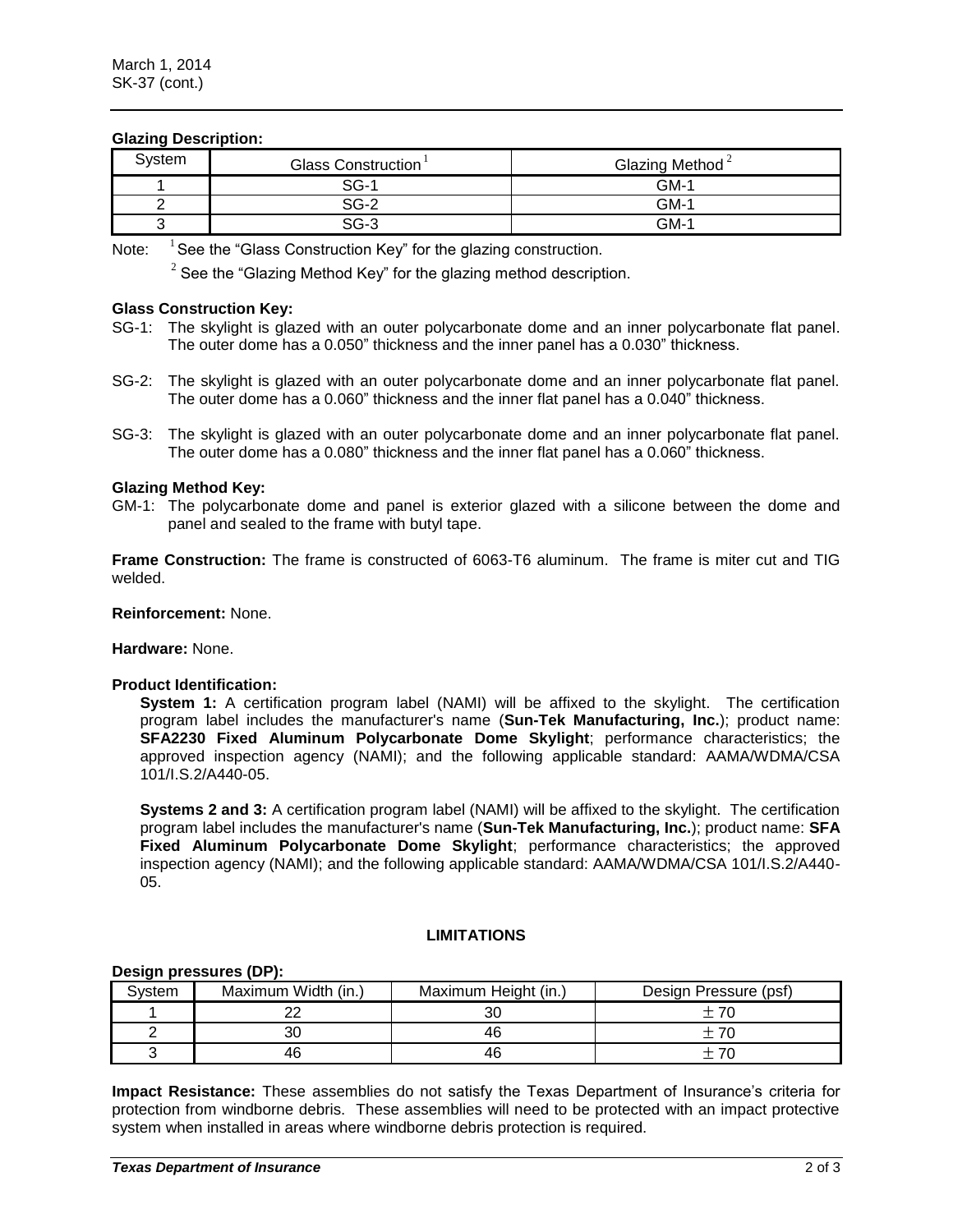# **Glazing Description:**

| System | Glass Construction | Glazing Method $\textdegree$ |
|--------|--------------------|------------------------------|
|        | $SG-1$             | $GM-1$                       |
|        | $SG-2$             | $GM-1$                       |
|        | $SG-3$             | GM-1                         |

Note:  $1$  See the "Glass Construction Key" for the glazing construction.

 $2$  See the "Glazing Method Key" for the glazing method description.

# **Glass Construction Key:**

- SG-1: The skylight is glazed with an outer polycarbonate dome and an inner polycarbonate flat panel. The outer dome has a 0.050" thickness and the inner panel has a 0.030" thickness.
- SG-2: The skylight is glazed with an outer polycarbonate dome and an inner polycarbonate flat panel. The outer dome has a 0.060" thickness and the inner flat panel has a 0.040" thickness.
- SG-3: The skylight is glazed with an outer polycarbonate dome and an inner polycarbonate flat panel. The outer dome has a 0.080" thickness and the inner flat panel has a 0.060" thickness.

# **Glazing Method Key:**

GM-1: The polycarbonate dome and panel is exterior glazed with a silicone between the dome and panel and sealed to the frame with butyl tape.

**Frame Construction:** The frame is constructed of 6063-T6 aluminum. The frame is miter cut and TIG welded.

#### **Reinforcement:** None.

**Hardware:** None.

#### **Product Identification:**

**System 1:** A certification program label (NAMI) will be affixed to the skylight. The certification program label includes the manufacturer's name (**Sun-Tek Manufacturing, Inc.**); product name: **SFA2230 Fixed Aluminum Polycarbonate Dome Skylight**; performance characteristics; the approved inspection agency (NAMI); and the following applicable standard: AAMA/WDMA/CSA 101/I.S.2/A440-05.

**Systems 2 and 3:** A certification program label (NAMI) will be affixed to the skylight. The certification program label includes the manufacturer's name (**Sun-Tek Manufacturing, Inc.**); product name: **SFA Fixed Aluminum Polycarbonate Dome Skylight**; performance characteristics; the approved inspection agency (NAMI); and the following applicable standard: AAMA/WDMA/CSA 101/I.S.2/A440- 05.

# **LIMITATIONS**

#### **Design pressures (DP):**

| <b>Svstem</b> | Maximum Width (in.) | Maximum Height (in.) | Design Pressure (psf) |
|---------------|---------------------|----------------------|-----------------------|
|               |                     |                      |                       |
|               | 30                  |                      |                       |
|               | 46                  | 46                   |                       |

**Impact Resistance:** These assemblies do not satisfy the Texas Department of Insurance's criteria for protection from windborne debris. These assemblies will need to be protected with an impact protective system when installed in areas where windborne debris protection is required.